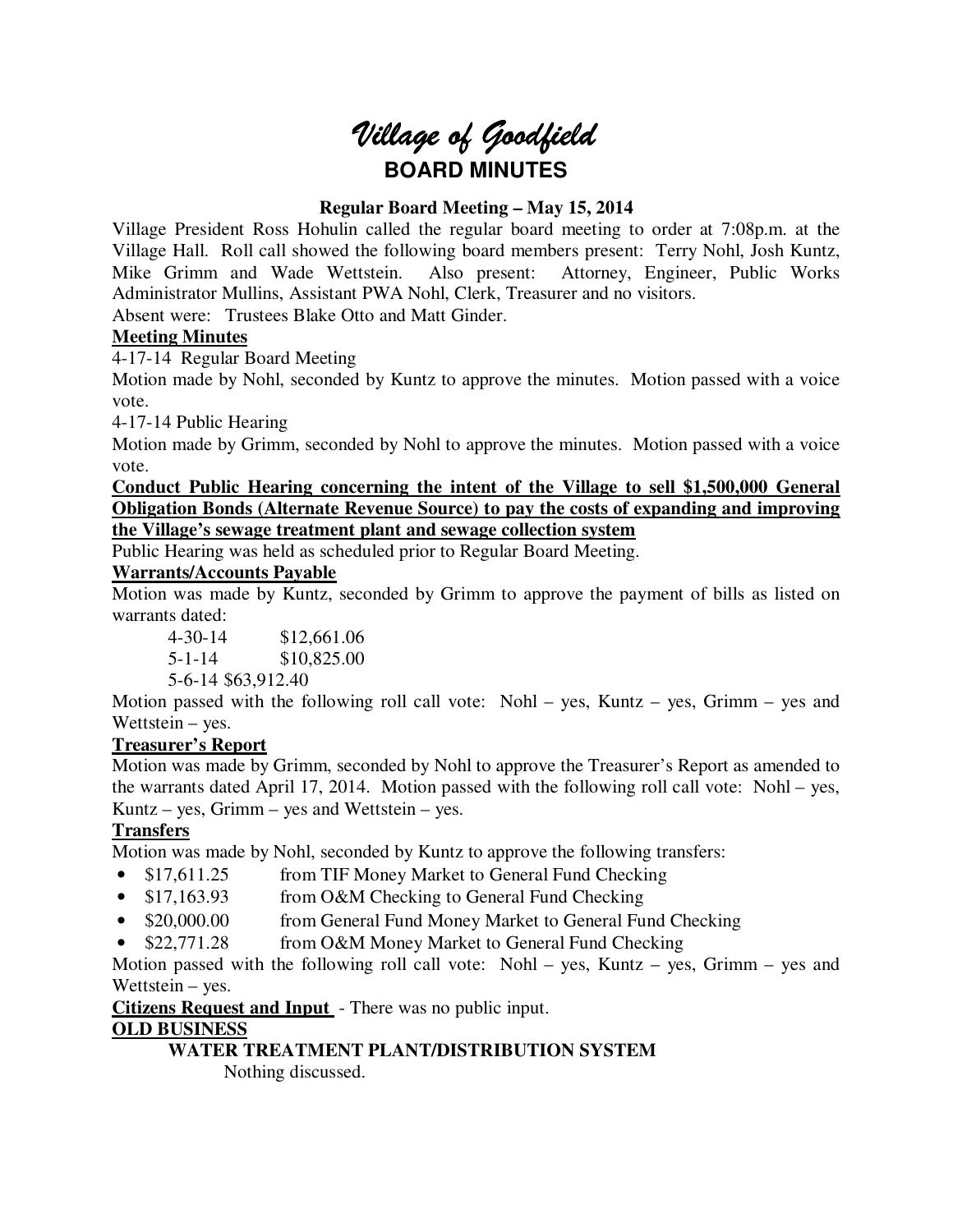# *Village of Goodfield* **BOARD MINUTES**

# **Regular Board Meeting – May 15, 2014**

Village President Ross Hohulin called the regular board meeting to order at 7:08p.m. at the Village Hall. Roll call showed the following board members present: Terry Nohl, Josh Kuntz, Mike Grimm and Wade Wettstein. Also present: Attorney, Engineer, Public Works Administrator Mullins, Assistant PWA Nohl, Clerk, Treasurer and no visitors.

Absent were: Trustees Blake Otto and Matt Ginder.

# **Meeting Minutes**

4-17-14 Regular Board Meeting

Motion made by Nohl, seconded by Kuntz to approve the minutes. Motion passed with a voice vote.

4-17-14 Public Hearing

Motion made by Grimm, seconded by Nohl to approve the minutes. Motion passed with a voice vote.

**Conduct Public Hearing concerning the intent of the Village to sell \$1,500,000 General Obligation Bonds (Alternate Revenue Source) to pay the costs of expanding and improving the Village's sewage treatment plant and sewage collection system** 

Public Hearing was held as scheduled prior to Regular Board Meeting.

# **Warrants/Accounts Payable**

Motion was made by Kuntz, seconded by Grimm to approve the payment of bills as listed on warrants dated:

 4-30-14 \$12,661.06 5-1-14 \$10,825.00 5-6-14 \$63,912.40

Motion passed with the following roll call vote: Nohl – yes, Kuntz – yes, Grimm – yes and Wettstein – yes.

# **Treasurer's Report**

Motion was made by Grimm, seconded by Nohl to approve the Treasurer's Report as amended to the warrants dated April 17, 2014. Motion passed with the following roll call vote: Nohl – yes, Kuntz – yes, Grimm – yes and Wettstein – yes.

# **Transfers**

Motion was made by Nohl, seconded by Kuntz to approve the following transfers:

- \$17,611.25 from TIF Money Market to General Fund Checking
- \$17,163.93 from O&M Checking to General Fund Checking
- \$20,000.00 from General Fund Money Market to General Fund Checking
- \$22,771.28 from O&M Money Market to General Fund Checking

Motion passed with the following roll call vote: Nohl – yes, Kuntz – yes, Grimm – yes and Wettstein – yes.

**Citizens Request and Input** - There was no public input.

# **OLD BUSINESS**

# **WATER TREATMENT PLANT/DISTRIBUTION SYSTEM**

Nothing discussed.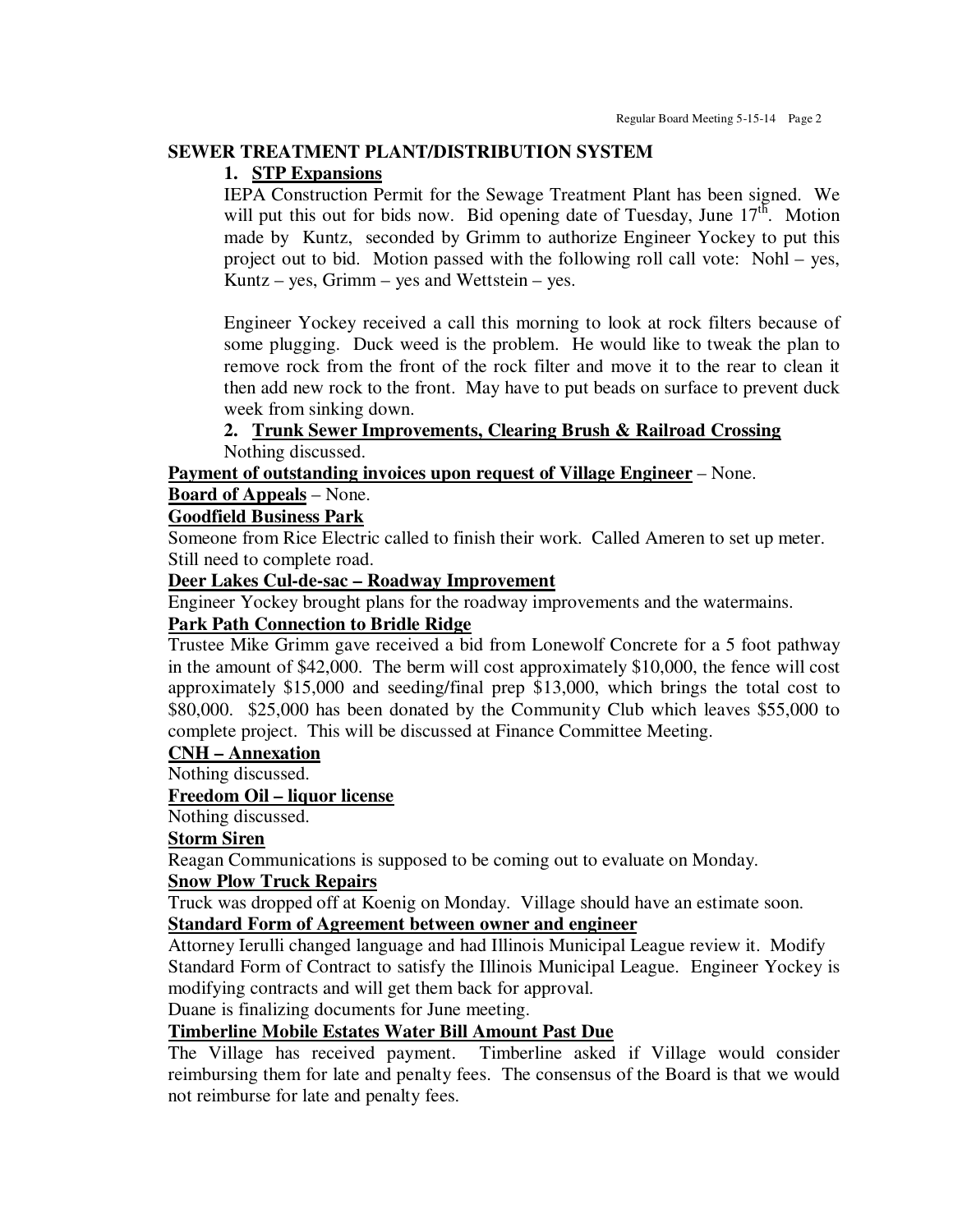#### **SEWER TREATMENT PLANT/DISTRIBUTION SYSTEM**

#### **1. STP Expansions**

IEPA Construction Permit for the Sewage Treatment Plant has been signed. We will put this out for bids now. Bid opening date of Tuesday, June  $17<sup>th</sup>$ . Motion made by Kuntz, seconded by Grimm to authorize Engineer Yockey to put this project out to bid. Motion passed with the following roll call vote: Nohl – yes, Kuntz – yes, Grimm – yes and Wettstein – yes.

Engineer Yockey received a call this morning to look at rock filters because of some plugging. Duck weed is the problem. He would like to tweak the plan to remove rock from the front of the rock filter and move it to the rear to clean it then add new rock to the front. May have to put beads on surface to prevent duck week from sinking down.

#### **2. Trunk Sewer Improvements, Clearing Brush & Railroad Crossing**  Nothing discussed.

**Payment of outstanding invoices upon request of Village Engineer** – None.

#### **Board of Appeals** – None.

# **Goodfield Business Park**

Someone from Rice Electric called to finish their work. Called Ameren to set up meter. Still need to complete road.

#### **Deer Lakes Cul-de-sac – Roadway Improvement**

Engineer Yockey brought plans for the roadway improvements and the watermains.

#### **Park Path Connection to Bridle Ridge**

Trustee Mike Grimm gave received a bid from Lonewolf Concrete for a 5 foot pathway in the amount of \$42,000. The berm will cost approximately \$10,000, the fence will cost approximately \$15,000 and seeding/final prep \$13,000, which brings the total cost to \$80,000. \$25,000 has been donated by the Community Club which leaves \$55,000 to complete project. This will be discussed at Finance Committee Meeting.

#### **CNH – Annexation**

Nothing discussed.

# **Freedom Oil – liquor license**

Nothing discussed.

# **Storm Siren**

Reagan Communications is supposed to be coming out to evaluate on Monday.

# **Snow Plow Truck Repairs**

Truck was dropped off at Koenig on Monday. Village should have an estimate soon. **Standard Form of Agreement between owner and engineer** 

Attorney Ierulli changed language and had Illinois Municipal League review it. Modify Standard Form of Contract to satisfy the Illinois Municipal League. Engineer Yockey is modifying contracts and will get them back for approval.

Duane is finalizing documents for June meeting.

# **Timberline Mobile Estates Water Bill Amount Past Due**

The Village has received payment. Timberline asked if Village would consider reimbursing them for late and penalty fees. The consensus of the Board is that we would not reimburse for late and penalty fees.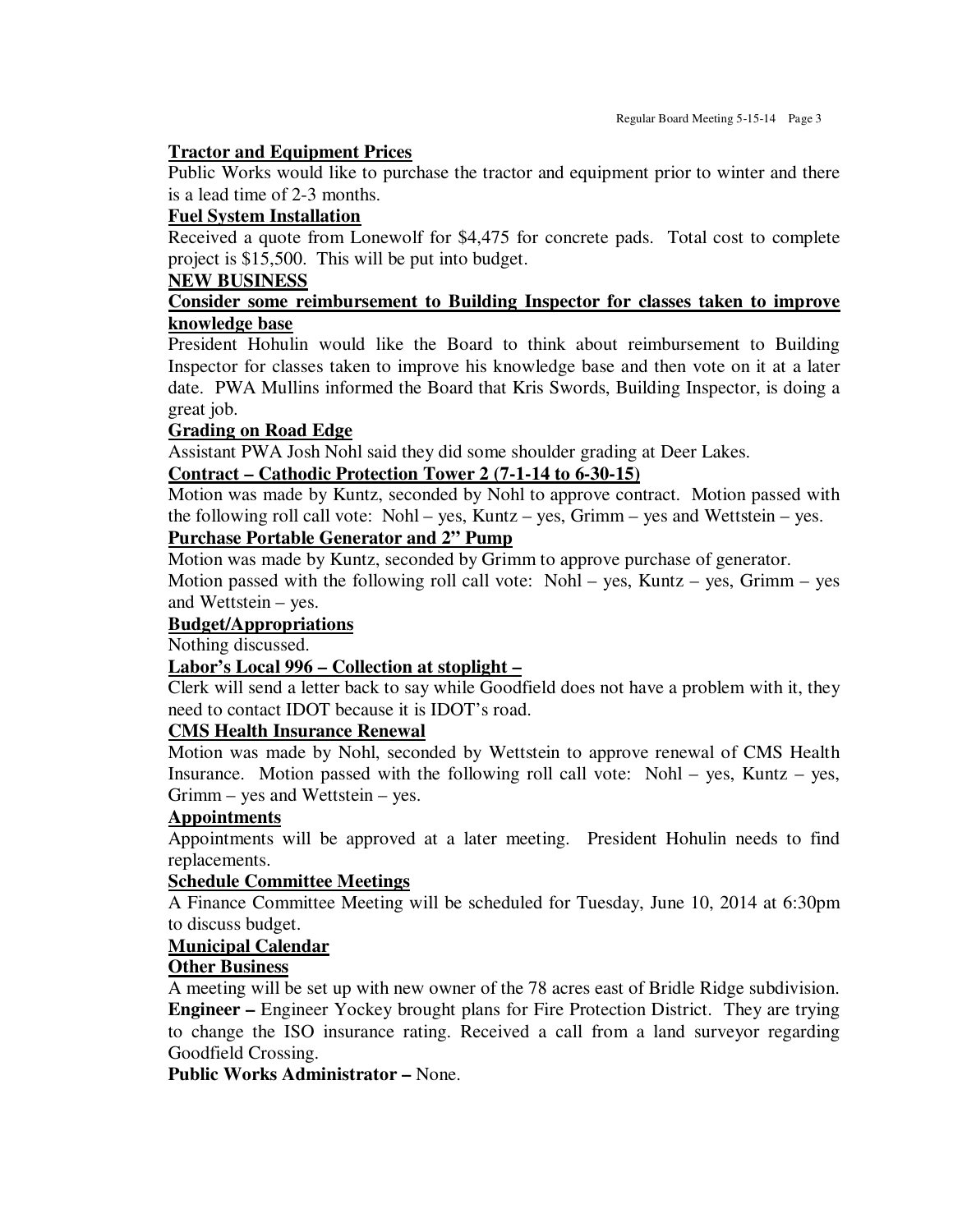# **Tractor and Equipment Prices**

Public Works would like to purchase the tractor and equipment prior to winter and there is a lead time of 2-3 months.

# **Fuel System Installation**

Received a quote from Lonewolf for \$4,475 for concrete pads. Total cost to complete project is \$15,500. This will be put into budget.

# **NEW BUSINESS**

# **Consider some reimbursement to Building Inspector for classes taken to improve knowledge base**

President Hohulin would like the Board to think about reimbursement to Building Inspector for classes taken to improve his knowledge base and then vote on it at a later date. PWA Mullins informed the Board that Kris Swords, Building Inspector, is doing a great job.

# **Grading on Road Edge**

Assistant PWA Josh Nohl said they did some shoulder grading at Deer Lakes.

# **Contract – Cathodic Protection Tower 2 (7-1-14 to 6-30-15)**

Motion was made by Kuntz, seconded by Nohl to approve contract. Motion passed with the following roll call vote: Nohl – yes, Kuntz – yes, Grimm – yes and Wettstein – yes.

# **Purchase Portable Generator and 2" Pump**

Motion was made by Kuntz, seconded by Grimm to approve purchase of generator.

Motion passed with the following roll call vote: Nohl – yes, Kuntz – yes, Grimm – yes and Wettstein – yes.

# **Budget/Appropriations**

Nothing discussed.

# **Labor's Local 996 – Collection at stoplight –**

Clerk will send a letter back to say while Goodfield does not have a problem with it, they need to contact IDOT because it is IDOT's road.

# **CMS Health Insurance Renewal**

Motion was made by Nohl, seconded by Wettstein to approve renewal of CMS Health Insurance. Motion passed with the following roll call vote: Nohl – yes, Kuntz – yes, Grimm – yes and Wettstein – yes.

# **Appointments**

Appointments will be approved at a later meeting. President Hohulin needs to find replacements.

# **Schedule Committee Meetings**

A Finance Committee Meeting will be scheduled for Tuesday, June 10, 2014 at 6:30pm to discuss budget.

# **Municipal Calendar**

# **Other Business**

A meeting will be set up with new owner of the 78 acres east of Bridle Ridge subdivision. **Engineer –** Engineer Yockey brought plans for Fire Protection District. They are trying to change the ISO insurance rating. Received a call from a land surveyor regarding Goodfield Crossing.

**Public Works Administrator –** None.